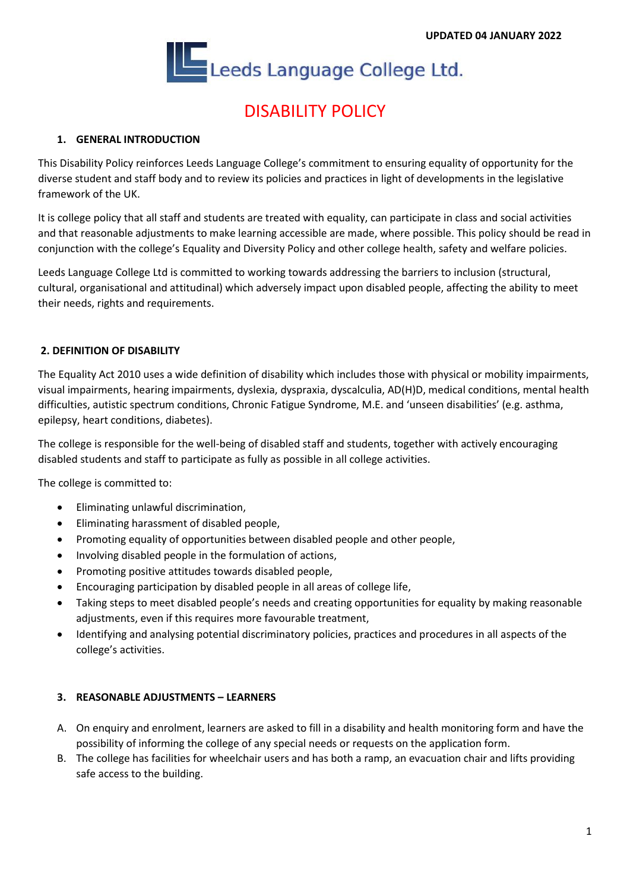

# DISABILITY POLICY

### **1. GENERAL INTRODUCTION**

This Disability Policy reinforces Leeds Language College's commitment to ensuring equality of opportunity for the diverse student and staff body and to review its policies and practices in light of developments in the legislative framework of the UK.

It is college policy that all staff and students are treated with equality, can participate in class and social activities and that reasonable adjustments to make learning accessible are made, where possible. This policy should be read in conjunction with the college's Equality and Diversity Policy and other college health, safety and welfare policies.

Leeds Language College Ltd is committed to working towards addressing the barriers to inclusion (structural, cultural, organisational and attitudinal) which adversely impact upon disabled people, affecting the ability to meet their needs, rights and requirements.

#### **2. DEFINITION OF DISABILITY**

The Equality Act 2010 uses a wide definition of disability which includes those with physical or mobility impairments, visual impairments, hearing impairments, dyslexia, dyspraxia, dyscalculia, AD(H)D, medical conditions, mental health difficulties, autistic spectrum conditions, Chronic Fatigue Syndrome, M.E. and 'unseen disabilities' (e.g. asthma, epilepsy, heart conditions, diabetes).

The college is responsible for the well-being of disabled staff and students, together with actively encouraging disabled students and staff to participate as fully as possible in all college activities.

The college is committed to:

- Eliminating unlawful discrimination,
- Eliminating harassment of disabled people,
- Promoting equality of opportunities between disabled people and other people.
- Involving disabled people in the formulation of actions,
- Promoting positive attitudes towards disabled people,
- Encouraging participation by disabled people in all areas of college life,
- Taking steps to meet disabled people's needs and creating opportunities for equality by making reasonable adjustments, even if this requires more favourable treatment,
- Identifying and analysing potential discriminatory policies, practices and procedures in all aspects of the college's activities.

#### **3. REASONABLE ADJUSTMENTS – LEARNERS**

- A. On enquiry and enrolment, learners are asked to fill in a disability and health monitoring form and have the possibility of informing the college of any special needs or requests on the application form.
- B. The college has facilities for wheelchair users and has both a ramp, an evacuation chair and lifts providing safe access to the building.